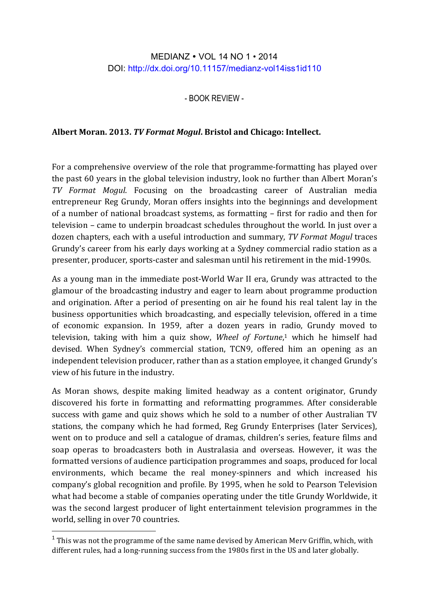## MEDIANZ • VOL 14 NO 1 • 2014 DOI: http://dx.doi.org/10.11157/medianz-vol14iss1id110

- BOOK REVIEW -

## Albert Moran. 2013. TV Format Mogul. Bristol and Chicago: Intellect.

For a comprehensive overview of the role that programme-formatting has played over the past 60 years in the global television industry, look no further than Albert Moran's *TV Format Mogul*. Focusing on the broadcasting career of Australian media entrepreneur Reg Grundy, Moran offers insights into the beginnings and development of a number of national broadcast systems, as formatting – first for radio and then for television – came to underpin broadcast schedules throughout the world. In just over a dozen chapters, each with a useful introduction and summary, *TV Format Mogul* traces Grundy's career from his early days working at a Sydney commercial radio station as a presenter, producer, sports-caster and salesman until his retirement in the mid-1990s.

As a young man in the immediate post-World War II era, Grundy was attracted to the glamour of the broadcasting industry and eager to learn about programme production and origination. After a period of presenting on air he found his real talent lay in the business opportunities which broadcasting, and especially television, offered in a time of economic expansion. In 1959, after a dozen years in radio, Grundy moved to television, taking with him a quiz show, *Wheel of Fortune*,<sup>1</sup> which he himself had devised. When Sydney's commercial station, TCN9, offered him an opening as an independent television producer, rather than as a station employee, it changed Grundy's view of his future in the industry.

As Moran shows, despite making limited headway as a content originator, Grundy discovered his forte in formatting and reformatting programmes. After considerable success with game and quiz shows which he sold to a number of other Australian TV stations, the company which he had formed, Reg Grundy Enterprises (later Services), went on to produce and sell a catalogue of dramas, children's series, feature films and soap operas to broadcasters both in Australasia and overseas. However, it was the formatted versions of audience participation programmes and soaps, produced for local environments, which became the real money-spinners and which increased his company's global recognition and profile. By 1995, when he sold to Pearson Television what had become a stable of companies operating under the title Grundy Worldwide, it was the second largest producer of light entertainment television programmes in the world, selling in over 70 countries.

<u> 1989 - Jan Samuel Barbara, margaret e</u>

 $1$  This was not the programme of the same name devised by American Merv Griffin, which, with different rules, had a long-running success from the 1980s first in the US and later globally.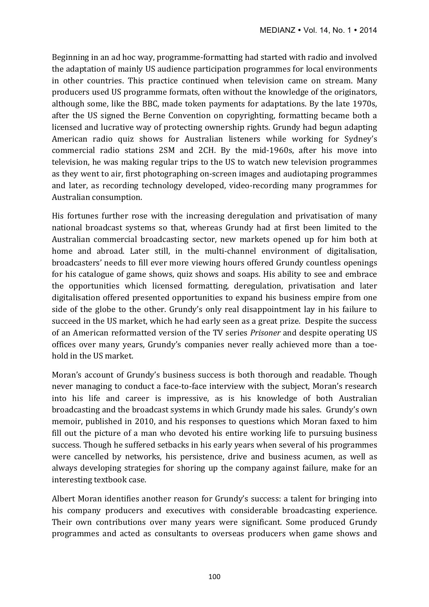Beginning in an ad hoc way, programme-formatting had started with radio and involved the adaptation of mainly US audience participation programmes for local environments in other countries. This practice continued when television came on stream. Many producers used US programme formats, often without the knowledge of the originators, although some, like the BBC, made token payments for adaptations. By the late 1970s, after the US signed the Berne Convention on copyrighting, formatting became both a licensed and lucrative way of protecting ownership rights. Grundy had begun adapting American radio quiz shows for Australian listeners while working for Sydney's commercial radio stations 2SM and 2CH. By the mid-1960s, after his move into television, he was making regular trips to the US to watch new television programmes as they went to air, first photographing on-screen images and audiotaping programmes and later, as recording technology developed, video-recording many programmes for Australian consumption.

His fortunes further rose with the increasing deregulation and privatisation of many national broadcast systems so that, whereas Grundy had at first been limited to the Australian commercial broadcasting sector, new markets opened up for him both at home and abroad. Later still, in the multi-channel environment of digitalisation, broadcasters' needs to fill ever more viewing hours offered Grundy countless openings for his catalogue of game shows, quiz shows and soaps. His ability to see and embrace the opportunities which licensed formatting, deregulation, privatisation and later digitalisation offered presented opportunities to expand his business empire from one side of the globe to the other. Grundy's only real disappointment lay in his failure to succeed in the US market, which he had early seen as a great prize. Despite the success of an American reformatted version of the TV series *Prisoner* and despite operating US offices over many years, Grundy's companies never really achieved more than a toehold in the US market.

Moran's account of Grundy's business success is both thorough and readable. Though never managing to conduct a face-to-face interview with the subject, Moran's research into his life and career is impressive, as is his knowledge of both Australian broadcasting and the broadcast systems in which Grundy made his sales. Grundy's own memoir, published in 2010, and his responses to questions which Moran faxed to him fill out the picture of a man who devoted his entire working life to pursuing business success. Though he suffered setbacks in his early years when several of his programmes were cancelled by networks, his persistence, drive and business acumen, as well as always developing strategies for shoring up the company against failure, make for an interesting textbook case.

Albert Moran identifies another reason for Grundy's success: a talent for bringing into his company producers and executives with considerable broadcasting experience. Their own contributions over many years were significant. Some produced Grundy programmes and acted as consultants to overseas producers when game shows and